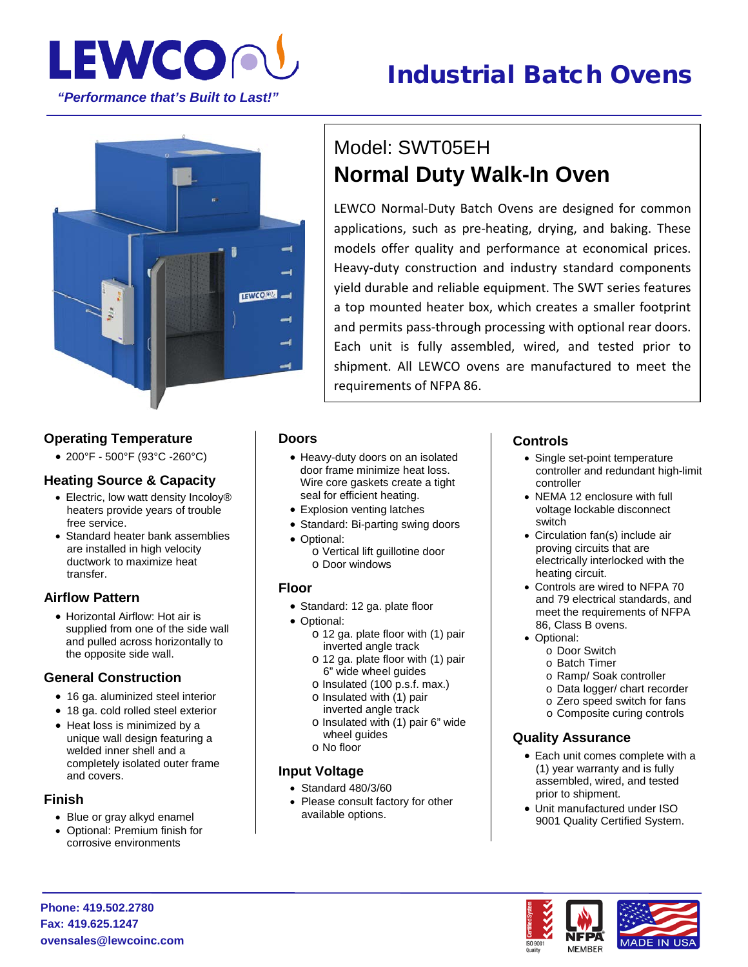

# Industrial Batch Ovens



### **Operating Temperature**

• 200°F - 500°F (93°C -260°C)

#### **Heating Source & Capacity**

- Electric, low watt density Incoloy® heaters provide years of trouble free service.
- Standard heater bank assemblies are installed in high velocity ductwork to maximize heat transfer.

### **Airflow Pattern**

• Horizontal Airflow: Hot air is supplied from one of the side wall and pulled across horizontally to the opposite side wall.

#### **General Construction**

- 16 ga. aluminized steel interior
- 18 ga. cold rolled steel exterior
- Heat loss is minimized by a unique wall design featuring a welded inner shell and a completely isolated outer frame and covers.

#### **Finish**

- Blue or gray alkyd enamel
- Optional: Premium finish for corrosive environments

## Model: SWT05EH **Normal Duty Walk-In Oven**

LEWCO Normal-Duty Batch Ovens are designed for common applications, such as pre-heating, drying, and baking. These models offer quality and performance at economical prices. Heavy-duty construction and industry standard components yield durable and reliable equipment. The SWT series features a top mounted heater box, which creates a smaller footprint and permits pass-through processing with optional rear doors. Each unit is fully assembled, wired, and tested prior to shipment. All LEWCO ovens are manufactured to meet the requirements of NFPA 86.

#### **Doors**

- Heavy-duty doors on an isolated door frame minimize heat loss. Wire core gaskets create a tight seal for efficient heating.
- Explosion venting latches
- Standard: Bi-parting swing doors
- Optional:
	- o Vertical lift guillotine door o Door windows

#### **Floor**

- Standard: 12 ga. plate floor
- Optional:
	- o 12 ga. plate floor with (1) pair inverted angle track
	- o 12 ga. plate floor with (1) pair 6" wide wheel guides
	- o Insulated (100 p.s.f. max.) o Insulated with (1) pair
	- inverted angle track
	- o Insulated with (1) pair 6" wide wheel guides o No floor
	-

#### **Input Voltage**

- Standard 480/3/60
- Please consult factory for other available options.

#### **Controls**

- Single set-point temperature controller and redundant high-limit controller
- NEMA 12 enclosure with full voltage lockable disconnect switch
- Circulation fan(s) include air proving circuits that are electrically interlocked with the heating circuit.
- Controls are wired to NFPA 70 and 79 electrical standards, and meet the requirements of NFPA 86, Class B ovens.
- Optional:

ISO 900

- o Door Switch
- o Batch Timer
- o Ramp/ Soak controller
- o Data logger/ chart recorder
- o Zero speed switch for fans
- o Composite curing controls

#### **Quality Assurance**

- Each unit comes complete with a (1) year warranty and is fully assembled, wired, and tested prior to shipment.
- Unit manufactured under ISO 9001 Quality Certified System.



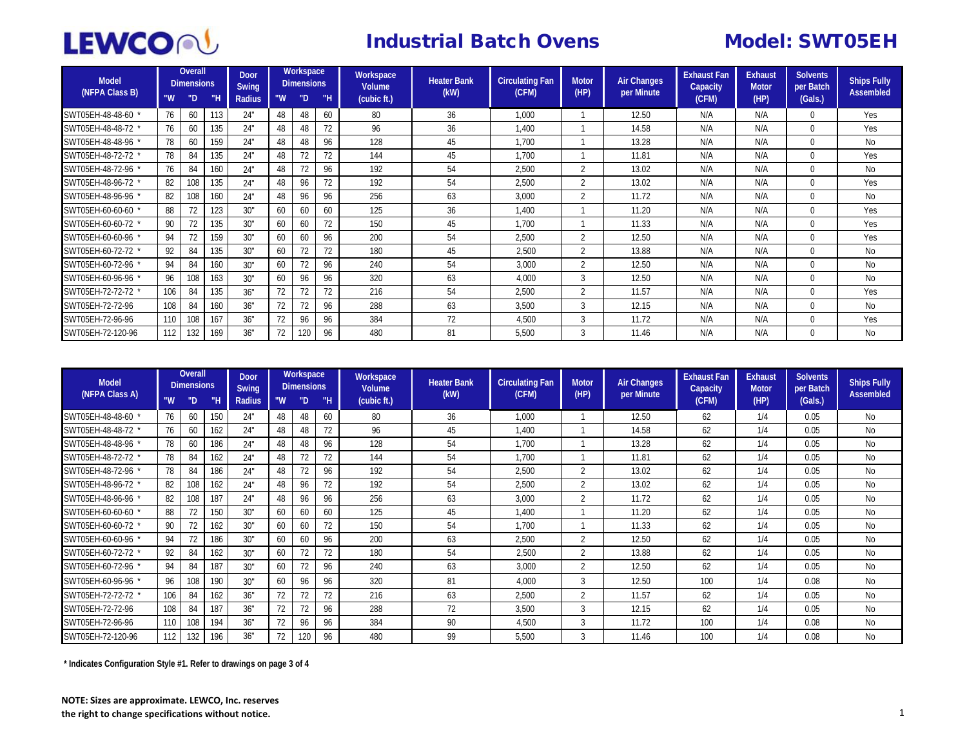

## **Industrial Batch Ovens Model: SWT05EH**

| <b>Model</b><br>(NFPA Class B) | "W  | Overall<br>Dimensions<br>"D | "H  | <b>Door</b><br>Swing<br>Radius | "W | Workspace<br><b>Dimensions</b><br>"D | "Н | Workspace<br><b>Volume</b><br>(cubic ft.) | <b>Heater Bank</b><br>(kW) | <b>Circulating Fan</b><br>(CFM) | <b>Motor</b><br>(HP)     | <b>Air Changes</b><br>per Minute | <b>Exhaust Fan</b><br>Capacity<br>(CFM) | <b>Exhaust</b><br><b>Motor</b><br>(HP) | <b>Solvents</b><br>per Batch<br>(Gals.) | <b>Ships Fully</b><br><b>Assembled</b> |
|--------------------------------|-----|-----------------------------|-----|--------------------------------|----|--------------------------------------|----|-------------------------------------------|----------------------------|---------------------------------|--------------------------|----------------------------------|-----------------------------------------|----------------------------------------|-----------------------------------------|----------------------------------------|
| SWT05EH-48-48-60               | 76  | 60                          | 113 | 24"                            | 48 | 48                                   | 60 | 80                                        | 36                         | 1,000                           |                          | 12.50                            | N/A                                     | N/A                                    | $\Omega$                                | Yes                                    |
| SWT05EH-48-48-72               | 76  | 60                          | 135 | 24"                            | 48 | 48                                   |    | 96                                        | 36                         | 1.400                           |                          | 14.58                            | N/A                                     | N/A                                    | $\theta$                                | Yes                                    |
| SWT05EH-48-48-96               | 78  | 60                          | 159 | 24"                            | 48 | 48                                   | 96 | 128                                       | 45                         | 1,700                           |                          | 13.28                            | N/A                                     | N/A                                    |                                         | N <sub>0</sub>                         |
| SWT05EH-48-72-72               | 78  | 84                          | 135 | 24"                            | 48 | 72                                   | 72 | 144                                       | 45                         | 1.700                           |                          | 11.81                            | N/A                                     | N/A                                    | $\theta$                                | Yes                                    |
| SWT05EH-48-72-96               | 76  | 84                          | 160 | 24"                            | 48 | 72                                   | 96 | 192                                       | 54                         | 2,500                           | $\overline{\mathcal{L}}$ | 13.02                            | N/A                                     | N/A                                    | $\theta$                                | N <sub>0</sub>                         |
| SWT05EH-48-96-72               | 82  | 108                         | 135 | 24"                            | 48 | 96                                   | 72 | 192                                       | 54                         | 2,500                           | $\overline{\mathcal{L}}$ | 13.02                            | N/A                                     | N/A                                    |                                         | Yes                                    |
| SWT05EH-48-96-96               | 82  | 108                         | 160 | 24"                            | 48 | 96                                   | 96 | 256                                       | 63                         | 3,000                           | $\overline{\mathcal{L}}$ | 11.72                            | N/A                                     | N/A                                    | 0                                       | N <sub>0</sub>                         |
| SWT05EH-60-60-60               | 88  |                             | 123 | 30"                            | 60 | 60                                   | 60 | 125                                       | 36                         | 1.400                           |                          | 11.20                            | N/A                                     | N/A                                    | $\Omega$                                | Yes                                    |
| SWT05EH-60-60-72               | 90  | 72                          | 135 | 30"                            | 60 | 60                                   | 72 | 150                                       | 45                         | 1,700                           |                          | 11.33                            | N/A                                     | N/A                                    |                                         | Yes                                    |
| SWT05EH-60-60-96               | 94  | 72                          | 159 | 30"                            | 60 | 60                                   | 96 | 200                                       | 54                         | 2,500                           | $\overline{\mathcal{L}}$ | 12.50                            | N/A                                     | N/A                                    |                                         | Yes                                    |
| SWT05EH-60-72-72               | 92  | 84                          | 135 | 30"                            | 60 | 72                                   | 72 | 180                                       | 45                         | 2,500                           | $\overline{\mathcal{L}}$ | 13.88                            | N/A                                     | N/A                                    | $\Omega$                                | N <sub>0</sub>                         |
| SWT05EH-60-72-96               | 94  | 84                          | 160 | 30"                            | 60 | 72                                   | 96 | 240                                       | 54                         | 3,000                           | $\overline{\mathcal{L}}$ | 12.50                            | N/A                                     | N/A                                    |                                         | N <sub>0</sub>                         |
| SWT05EH-60-96-96               | 96  | 108                         | 163 | 30"                            | 60 | 96                                   | 96 | 320                                       | 63                         | 4,000                           | 3                        | 12.50                            | N/A                                     | N/A                                    | 0                                       | N <sub>o</sub>                         |
| SWT05EH-72-72-72 '             | 106 | 84                          | 135 | 36"                            | 72 | 72                                   |    | 216                                       | 54                         | 2,500                           | $\overline{\mathcal{L}}$ | 11.57                            | N/A                                     | N/A                                    |                                         | Yes                                    |
| SWT05EH-72-72-96               | 108 | 84                          | 160 | 36"                            | 72 | 72                                   | 96 | 288                                       | 63                         | 3,500                           | 3                        | 12.15                            | N/A                                     | N/A                                    |                                         | N <sub>0</sub>                         |
| SWT05EH-72-96-96               | 110 | 108                         | 167 | 36"                            | 72 | 96                                   | 96 | 384                                       | 72                         | 4,500                           | 3                        | 11.72                            | N/A                                     | N/A                                    |                                         | Yes                                    |
| SWT05EH-72-120-96              | 112 | 132                         | 169 | 36"                            | 72 | 120                                  | 96 | 480                                       | 81                         | 5,500                           | 3                        | 11.46                            | N/A                                     | N/A                                    |                                         | N <sub>0</sub>                         |

| <b>Model</b><br>(NFPA Class A) | <b>Overall</b><br><b>Dimensions</b> |     | Workspace<br><b>Door</b><br><b>Dimensions</b><br>Swing |        |    | Workspace<br>Volume | <b>Heater Bank</b> | <b>Circulating Fan</b> | <b>Motor</b> | <b>Air Changes</b> | <b>Exhaust Fan</b><br>Capacity | <b>Exhaust</b><br><b>Motor</b> | <b>Solvents</b><br>per Batch | <b>Ships Fully</b> |         |                |
|--------------------------------|-------------------------------------|-----|--------------------------------------------------------|--------|----|---------------------|--------------------|------------------------|--------------|--------------------|--------------------------------|--------------------------------|------------------------------|--------------------|---------|----------------|
|                                | "W                                  | "D  | ΜН                                                     | Radius | "W | "D                  | . "Н               | (cubic ft.)            | (kW)         | (CFM)              | (HP)                           | per Minute                     | (CFM)                        | (HP)               | (Gals.) | Assembled      |
| SWT05EH-48-48-60               | 76                                  | 60  | 150                                                    | 24"    | 48 | 48                  | 60                 | 80                     | 36           | 1,000              |                                | 12.50                          | 62                           | 1/4                | 0.05    | No             |
| SWT05EH-48-48-72               | 76                                  | 60  | 162                                                    | 24"    | 48 | 48                  |                    | 96                     | 45           | 1,400              |                                | 14.58                          | 62                           | 1/4                | 0.05    | No             |
| SWT05EH-48-48-96               | 78                                  | 60  | 186                                                    | 24"    | 48 | 48                  | 96                 | 128                    | 54           | 1,700              |                                | 13.28                          | 62                           | 1/4                | 0.05    | No             |
| SWT05EH-48-72-72               | 78                                  | 84  | 162                                                    | 24"    | 48 | 72                  | 72                 | 144                    | 54           | 1,700              |                                | 11.81                          | 62                           | 1/4                | 0.05    | No             |
| SWT05EH-48-72-96 *             | 78                                  | 84  | 186                                                    | 24"    | 48 | 72                  | 96                 | 192                    | 54           | 2,500              | $\overline{2}$                 | 13.02                          | 62                           | 1/4                | 0.05    | N <sub>0</sub> |
| SWT05EH-48-96-72               | 82                                  | 108 | 162                                                    | 24"    | 48 | 96                  | 72                 | 192                    | 54           | 2,500              | $\overline{2}$                 | 13.02                          | 62                           | 1/4                | 0.05    | No             |
| SWT05EH-48-96-96               | 82                                  | 108 | 187                                                    | 24"    | 48 | 96                  | 96                 | 256                    | 63           | 3,000              | $\overline{\phantom{a}}$       | 11.72                          | 62                           | 1/4                | 0.05    | No             |
| SWT05EH-60-60-60 '             | 88                                  |     | 150                                                    | 30"    | 60 | 60                  | 60                 | 125                    | 45           | 1,400              |                                | 11.20                          | 62                           | 1/4                | 0.05    | No             |
| SWT05EH-60-60-72               | 90                                  | 72  | 162                                                    | 30"    | 60 | 60                  | 72                 | 150                    | 54           | 1,700              |                                | 11.33                          | 62                           | 1/4                | 0.05    | No             |
| SWT05EH-60-60-96               | 94                                  |     | 186                                                    | 30"    | 60 | 60                  | 96                 | 200                    | 63           | 2,500              | $\overline{\mathcal{L}}$       | 12.50                          | 62                           | 1/4                | 0.05    | N <sub>0</sub> |
| SWT05EH-60-72-72 '             | 92                                  | 84  | 162                                                    | 30"    | 60 | 72                  | 72                 | 180                    | 54           | 2,500              | $\overline{\mathcal{L}}$       | 13.88                          | 62                           | 1/4                | 0.05    | <b>No</b>      |
| SWT05EH-60-72-96               | 94                                  | 84  | 187                                                    | 30"    | 60 | 72                  | 96                 | 240                    | 63           | 3,000              | $\overline{2}$                 | 12.50                          | 62                           | 1/4                | 0.05    | N <sub>0</sub> |
| SWT05EH-60-96-96 '             | 96                                  | 108 | 190                                                    | 30"    | 60 | 96                  | 96                 | 320                    | 81           | 4,000              | 3                              | 12.50                          | 100                          | 1/4                | 0.08    | No             |
| SWT05EH-72-72-72 *             | 106                                 | 84  | 162                                                    | 36"    | 72 | 72                  |                    | 216                    | 63           | 2,500              | $\overline{\mathcal{L}}$       | 11.57                          | 62                           | 1/4                | 0.05    | No             |
| SWT05EH-72-72-96               | 108                                 | 84  | 187                                                    | 36"    | 72 | 72                  | 96                 | 288                    | 72           | 3,500              | 3                              | 12.15                          | 62                           | 1/4                | 0.05    | <b>No</b>      |
| SWT05EH-72-96-96               | 110                                 | 108 | 194                                                    | 36"    | 72 | 96                  | 96                 | 384                    | 90           | 4,500              | 3                              | 11.72                          | 100                          | 1/4                | 0.08    | No             |
| SWT05EH-72-120-96              | 112                                 | 132 | 196                                                    | 36"    | 72 | 120                 | 96                 | 480                    | 99           | 5,500              | 3                              | 11.46                          | 100                          | 1/4                | 0.08    | No             |

**\* Indicates Configuration Style #1. Refer to drawings on page 3 of 4**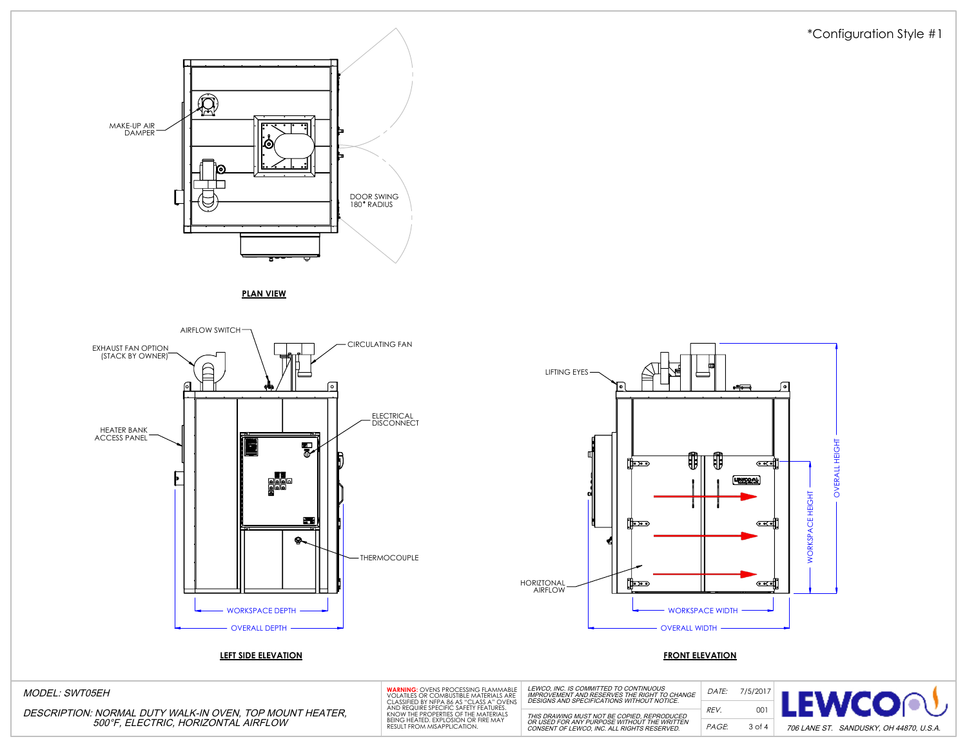



**PLAN VIEW**





DATE: REV. PAGE:

MODEL: SWT05EH

DESCRIPTION: NORMAL DUTY WALK-IN OVEN, TOP MOUNT HEATER, 500°F, ELECTRIC, HORIZONTAL AIRFLOW

| <b>WARNING: OVENS PROCESSING FLAMMABLE</b><br>VOLATILES OR COMBUSTIBLE MATERIALS ARE<br>CLASSIFIED BY NFPA 86 AS "CLASS A" OVENS<br>AND REQUIRE SPECIFIC SAFETY FEATURES.<br>KNOW THE PROPERTIES OF THE MATERIALS |  |
|-------------------------------------------------------------------------------------------------------------------------------------------------------------------------------------------------------------------|--|
| BEING HEATED. EXPLOSION OR FIRE MAY<br>RESULT FROM MISAPPLICATION.                                                                                                                                                |  |

LEWCO, INC. IS COMMITTED TO CONTINUOUS<br>IMPROVEMENT AND RESERVES THE RIGHT TO CHANGE<br>DESIGNS AND SPECIFICATIONS WITHOUT NOTICE. THIS DRAWING MUST NOT BE COPIED, REPRODUCED OR USED FOR ANY PURPOSE WITHOUT THE WRITTEN CONSENT OF LEWCO, INC. ALL RIGHTS RESERVED.

7/5/2017 EWCOA 001 3 of 4 706 LANE ST. SANDUSKY, OH 44870, U.S.A.